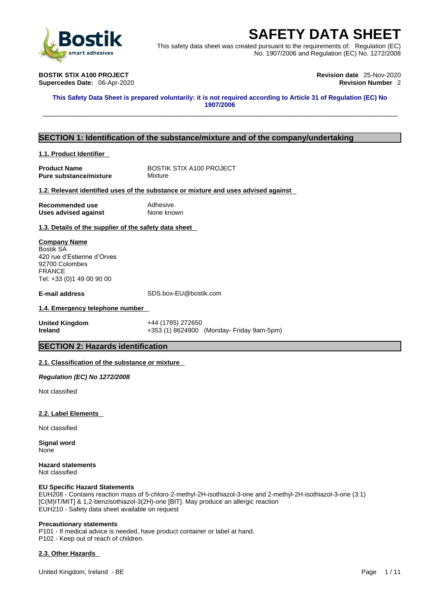

This safety data sheet was created pursuant to the requirements of: Regulation (EC) No. 1907/2006 and Regulation (EC) No. 1272/2008

**BOSTIK STIX A100 PROJECT Revision date** 25-Nov-2020 **Supercedes Date: 06-Apr-2020** 

This Safety Data Sheet is prepared voluntarily: it is not required according to Article 31 of Regulation (EC) No **1907/2006 SAFETY DATA SHEET**<br>
Finis safety data sheet was created pursuant to the requirements of: Regulation (EC)<br>
No. 1907/2006 and Regulation (EC) No. 1272/2008<br>
OSTIK STIX A100 PROJECT<br>
upercedes Date: 06-Apr-2020<br>
This Safety

### **SECTION 1: Identification of the substance/mixture and of the company/undertaking**

### **1.1. Product Identifier**

**Product Name** BOSTIK STIX A100 PROJECT<br> **Pure substance/mixture** Mixture **Pure substance/mixture** 

### **1.2. Relevant identified uses of the substance or mixture and uses advised against**

**Recommended use** Adhesive. **Uses advised against** None known

**1.3. Details of the supplier of the safety data sheet**

### **Company Name** Bostik SA

420 rue d'Estienne d'Orves 92700 Colombes FRANCE Tel: +33 (0)1 49 00 90 00

**E-mail address** SDS.box-EU@bostik.com

### **1.4. Emergency telephone number**

**United Kingdom** +44 (1785) 272650 **Ireland +353 (1) 8624900 (Monday- Friday 9am-5pm)** 

### **SECTION 2: Hazards identification**

### **2.1. Classification of the substance or mixture**

*Regulation (EC) No 1272/2008* 

Not classified

### **2.2. Label Elements**

Not classified

**Signal word** None

**Hazard statements** Not classified

### **EU Specific Hazard Statements**

EUH208 - Contains reaction mass of 5-chloro-2-methyl-2H-isothiazol-3-one and 2-methyl-2H-isothiazol-3-one (3:1) [C(M)IT/MIT] & 1,2-benzisothiazol-3(2H)-one [BIT]. May produce an allergic reaction EUH210 - Safety data sheet available on request

### **Precautionary statements**

P101 - If medical advice is needed, have product container or label at hand. P102 - Keep out of reach of children.

### **2.3. Other Hazards**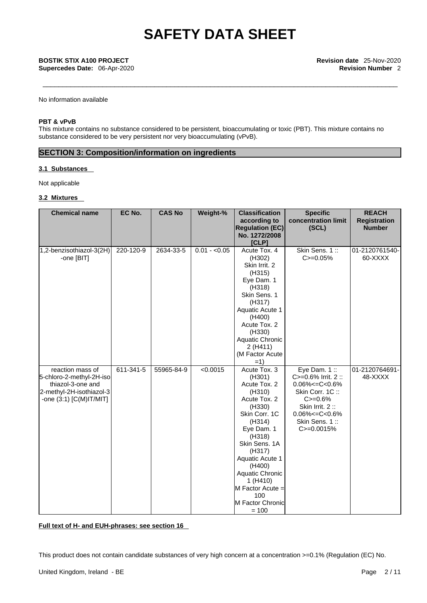No information available

### **PBT & vPvB**

This mixture contains no substance considered to be persistent, bioaccumulating or toxic (PBT). This mixture contains no substance considered to be very persistent nor very bioaccumulating (vPvB).

## **SECTION 3: Composition/information on ingredients**

### **3.1 Substances**

Not applicable

### **3.2 Mixtures**

| according to<br>concentration limit<br><b>Registration</b><br><b>Regulation (EC)</b><br>(SCL)<br><b>Number</b><br>No. 1272/2008<br>[CLP]<br>Skin Sens. 1::<br>1,2-benzisothiazol-3(2H)<br>220-120-9<br>2634-33-5<br>$0.01 - 0.05$<br>Acute Tox. 4<br>01-2120761540-<br>$C = 0.05%$<br>60-XXXX<br>-one [BIT]<br>(H302)<br>Skin Irrit, 2<br>(H315)<br>Eye Dam. 1<br>(H318)<br>Skin Sens. 1<br>(H317)<br>Aquatic Acute 1<br>(H400)<br>Acute Tox. 2<br>(H330)<br>Aquatic Chronic<br>2 (H411)<br>(M Factor Acute<br>$=1)$<br>$611 - 341 - 5$<br>< 0.0015<br>Eye Dam. $1::$<br>reaction mass of<br>55965-84-9<br>01-2120764691-<br>Acute Tox. 3<br>5-chloro-2-methyl-2H-iso<br>$C = 0.6\%$ Irrit. 2 ::<br>48-XXXX<br>(H301)<br>$0.06\% < = C < 0.6\%$<br>thiazol-3-one and<br>Acute Tox. 2<br>2-methyl-2H-isothiazol-3<br>(H310)<br>Skin Corr. 1C:<br>-one (3:1) [C(M)IT/MIT]<br>Acute Tox. 2<br>$C = 0.6%$ |
|-------------------------------------------------------------------------------------------------------------------------------------------------------------------------------------------------------------------------------------------------------------------------------------------------------------------------------------------------------------------------------------------------------------------------------------------------------------------------------------------------------------------------------------------------------------------------------------------------------------------------------------------------------------------------------------------------------------------------------------------------------------------------------------------------------------------------------------------------------------------------------------------------------|
|                                                                                                                                                                                                                                                                                                                                                                                                                                                                                                                                                                                                                                                                                                                                                                                                                                                                                                       |
|                                                                                                                                                                                                                                                                                                                                                                                                                                                                                                                                                                                                                                                                                                                                                                                                                                                                                                       |
|                                                                                                                                                                                                                                                                                                                                                                                                                                                                                                                                                                                                                                                                                                                                                                                                                                                                                                       |
|                                                                                                                                                                                                                                                                                                                                                                                                                                                                                                                                                                                                                                                                                                                                                                                                                                                                                                       |
|                                                                                                                                                                                                                                                                                                                                                                                                                                                                                                                                                                                                                                                                                                                                                                                                                                                                                                       |
|                                                                                                                                                                                                                                                                                                                                                                                                                                                                                                                                                                                                                                                                                                                                                                                                                                                                                                       |
|                                                                                                                                                                                                                                                                                                                                                                                                                                                                                                                                                                                                                                                                                                                                                                                                                                                                                                       |
|                                                                                                                                                                                                                                                                                                                                                                                                                                                                                                                                                                                                                                                                                                                                                                                                                                                                                                       |
|                                                                                                                                                                                                                                                                                                                                                                                                                                                                                                                                                                                                                                                                                                                                                                                                                                                                                                       |
|                                                                                                                                                                                                                                                                                                                                                                                                                                                                                                                                                                                                                                                                                                                                                                                                                                                                                                       |
|                                                                                                                                                                                                                                                                                                                                                                                                                                                                                                                                                                                                                                                                                                                                                                                                                                                                                                       |
|                                                                                                                                                                                                                                                                                                                                                                                                                                                                                                                                                                                                                                                                                                                                                                                                                                                                                                       |
|                                                                                                                                                                                                                                                                                                                                                                                                                                                                                                                                                                                                                                                                                                                                                                                                                                                                                                       |
|                                                                                                                                                                                                                                                                                                                                                                                                                                                                                                                                                                                                                                                                                                                                                                                                                                                                                                       |
|                                                                                                                                                                                                                                                                                                                                                                                                                                                                                                                                                                                                                                                                                                                                                                                                                                                                                                       |
|                                                                                                                                                                                                                                                                                                                                                                                                                                                                                                                                                                                                                                                                                                                                                                                                                                                                                                       |
|                                                                                                                                                                                                                                                                                                                                                                                                                                                                                                                                                                                                                                                                                                                                                                                                                                                                                                       |
|                                                                                                                                                                                                                                                                                                                                                                                                                                                                                                                                                                                                                                                                                                                                                                                                                                                                                                       |
|                                                                                                                                                                                                                                                                                                                                                                                                                                                                                                                                                                                                                                                                                                                                                                                                                                                                                                       |
|                                                                                                                                                                                                                                                                                                                                                                                                                                                                                                                                                                                                                                                                                                                                                                                                                                                                                                       |
|                                                                                                                                                                                                                                                                                                                                                                                                                                                                                                                                                                                                                                                                                                                                                                                                                                                                                                       |
|                                                                                                                                                                                                                                                                                                                                                                                                                                                                                                                                                                                                                                                                                                                                                                                                                                                                                                       |
|                                                                                                                                                                                                                                                                                                                                                                                                                                                                                                                                                                                                                                                                                                                                                                                                                                                                                                       |
|                                                                                                                                                                                                                                                                                                                                                                                                                                                                                                                                                                                                                                                                                                                                                                                                                                                                                                       |
| Skin Irrit. 2:<br>(H330)                                                                                                                                                                                                                                                                                                                                                                                                                                                                                                                                                                                                                                                                                                                                                                                                                                                                              |
| Skin Corr. 1C<br>$0.06\% < = C < 0.6\%$                                                                                                                                                                                                                                                                                                                                                                                                                                                                                                                                                                                                                                                                                                                                                                                                                                                               |
| Skin Sens. 1::<br>(H314)                                                                                                                                                                                                                                                                                                                                                                                                                                                                                                                                                                                                                                                                                                                                                                                                                                                                              |
| Eye Dam. 1<br>$C = 0.0015%$                                                                                                                                                                                                                                                                                                                                                                                                                                                                                                                                                                                                                                                                                                                                                                                                                                                                           |
| (H318)                                                                                                                                                                                                                                                                                                                                                                                                                                                                                                                                                                                                                                                                                                                                                                                                                                                                                                |
| Skin Sens. 1A                                                                                                                                                                                                                                                                                                                                                                                                                                                                                                                                                                                                                                                                                                                                                                                                                                                                                         |
| (H317)                                                                                                                                                                                                                                                                                                                                                                                                                                                                                                                                                                                                                                                                                                                                                                                                                                                                                                |
| Aquatic Acute 1                                                                                                                                                                                                                                                                                                                                                                                                                                                                                                                                                                                                                                                                                                                                                                                                                                                                                       |
| (H400)<br>Aquatic Chronic                                                                                                                                                                                                                                                                                                                                                                                                                                                                                                                                                                                                                                                                                                                                                                                                                                                                             |
|                                                                                                                                                                                                                                                                                                                                                                                                                                                                                                                                                                                                                                                                                                                                                                                                                                                                                                       |
| 1 (H410)<br>M Factor Acute =                                                                                                                                                                                                                                                                                                                                                                                                                                                                                                                                                                                                                                                                                                                                                                                                                                                                          |
| 100                                                                                                                                                                                                                                                                                                                                                                                                                                                                                                                                                                                                                                                                                                                                                                                                                                                                                                   |
| M Factor Chronic                                                                                                                                                                                                                                                                                                                                                                                                                                                                                                                                                                                                                                                                                                                                                                                                                                                                                      |
| $= 100$                                                                                                                                                                                                                                                                                                                                                                                                                                                                                                                                                                                                                                                                                                                                                                                                                                                                                               |

**Full text of H- and EUH-phrases: see section 16**

This product does not contain candidate substances of very high concern at a concentration >=0.1% (Regulation (EC) No.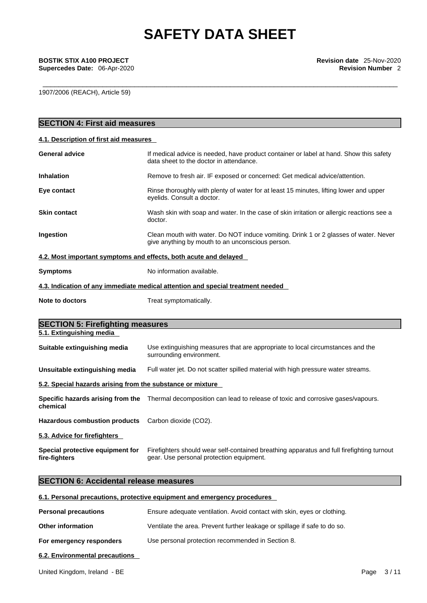**Supercedes Date: 06-Apr-2020** 

1907/2006 (REACH), Article 59)

| <b>SECTION 4: First aid measures</b>                                |                                                                                                                                          |
|---------------------------------------------------------------------|------------------------------------------------------------------------------------------------------------------------------------------|
| 4.1. Description of first aid measures                              |                                                                                                                                          |
| <b>General advice</b>                                               | If medical advice is needed, have product container or label at hand. Show this safety<br>data sheet to the doctor in attendance.        |
| <b>Inhalation</b>                                                   | Remove to fresh air. IF exposed or concerned: Get medical advice/attention.                                                              |
| Eye contact                                                         | Rinse thoroughly with plenty of water for at least 15 minutes, lifting lower and upper<br>eyelids. Consult a doctor.                     |
| <b>Skin contact</b>                                                 | Wash skin with soap and water. In the case of skin irritation or allergic reactions see a<br>doctor.                                     |
| Ingestion                                                           | Clean mouth with water. Do NOT induce vomiting. Drink 1 or 2 glasses of water. Never<br>give anything by mouth to an unconscious person. |
|                                                                     | 4.2. Most important symptoms and effects, both acute and delayed                                                                         |
| <b>Symptoms</b>                                                     | No information available.                                                                                                                |
|                                                                     | 4.3. Indication of any immediate medical attention and special treatment needed                                                          |
| Note to doctors                                                     | Treat symptomatically.                                                                                                                   |
|                                                                     |                                                                                                                                          |
| <b>SECTION 5: Firefighting measures</b><br>5.1. Extinguishing media |                                                                                                                                          |
| Suitable extinguishing media                                        | Use extinguishing measures that are appropriate to local circumstances and the<br>surrounding environment.                               |
| Unsuitable extinguishing media                                      | Full water jet. Do not scatter spilled material with high pressure water streams.                                                        |
| 5.2. Special hazards arising from the substance or mixture          |                                                                                                                                          |
| chemical                                                            | Specific hazards arising from the Thermal decomposition can lead to release of toxic and corrosive gases/vapours.                        |
| <b>Hazardous combustion products</b>                                | Carbon dioxide (CO2).                                                                                                                    |
| 5.3. Advice for firefighters                                        |                                                                                                                                          |
| Special protective equipment for<br>fire-fighters                   | Firefighters should wear self-contained breathing apparatus and full firefighting turnout<br>gear. Use personal protection equipment.    |
| <b>SECTION 6: Accidental release measures</b>                       |                                                                                                                                          |
|                                                                     | 6.1. Personal precautions, protective equipment and emergency procedures                                                                 |

| Other information | Ventilate the area. Prevent further leakage or spillage if safe to do so. |
|-------------------|---------------------------------------------------------------------------|
|-------------------|---------------------------------------------------------------------------|

**For emergency responders** Use personal protection recommended in Section 8.

### **6.2. Environmental precautions**

United Kingdom, Ireland - BE example 2 and the example of the Page 3/11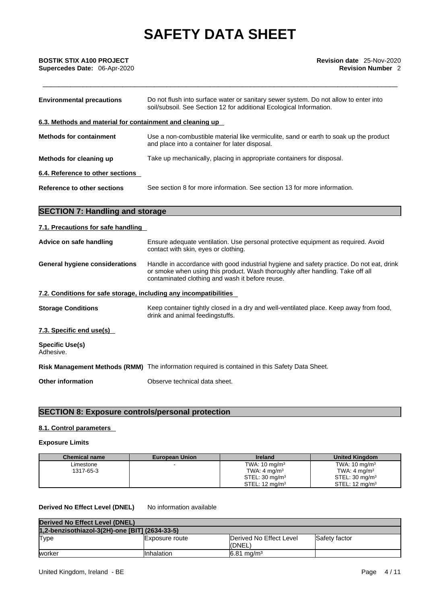| BOSTIK STIX A100 PROJECT      |  |
|-------------------------------|--|
| Supercedes Date: _06-Apr-2020 |  |

| <b>Environmental precautions</b>                          | Do not flush into surface water or sanitary sewer system. Do not allow to enter into<br>soil/subsoil. See Section 12 for additional Ecological Information. |  |
|-----------------------------------------------------------|-------------------------------------------------------------------------------------------------------------------------------------------------------------|--|
| 6.3. Methods and material for containment and cleaning up |                                                                                                                                                             |  |
| <b>Methods for containment</b>                            | Use a non-combustible material like vermiculite, sand or earth to soak up the product<br>and place into a container for later disposal.                     |  |
| Methods for cleaning up                                   | Take up mechanically, placing in appropriate containers for disposal.                                                                                       |  |
| 6.4. Reference to other sections                          |                                                                                                                                                             |  |
| Reference to other sections                               | See section 8 for more information. See section 13 for more information.                                                                                    |  |

## **SECTION 7: Handling and storage**

## **7.1. Precautions for safe handling**

| Advice on safe handling                                           | Ensure adequate ventilation. Use personal protective equipment as required. Avoid<br>contact with skin, eyes or clothing.                                                                                                     |  |
|-------------------------------------------------------------------|-------------------------------------------------------------------------------------------------------------------------------------------------------------------------------------------------------------------------------|--|
| <b>General hygiene considerations</b>                             | Handle in accordance with good industrial hygiene and safety practice. Do not eat, drink<br>or smoke when using this product. Wash thoroughly after handling. Take off all<br>contaminated clothing and wash it before reuse. |  |
| 7.2. Conditions for safe storage, including any incompatibilities |                                                                                                                                                                                                                               |  |
| <b>Storage Conditions</b>                                         | Keep container tightly closed in a dry and well-ventilated place. Keep away from food,<br>drink and animal feedingstuffs.                                                                                                     |  |
| 7.3. Specific end use(s)                                          |                                                                                                                                                                                                                               |  |
| <b>Specific Use(s)</b><br>Adhesive.                               |                                                                                                                                                                                                                               |  |
|                                                                   | Risk Management Methods (RMM) The information required is contained in this Safety Data Sheet.                                                                                                                                |  |

**Other information** Observe technical data sheet.

## **SECTION 8: Exposure controls/personal protection**

### **8.1. Control parameters**

### **Exposure Limits**

| <b>Chemical name</b> | <b>European Union</b> | <b>Ireland</b>             | <b>United Kingdom</b>     |
|----------------------|-----------------------|----------------------------|---------------------------|
| Limestone            |                       | TWA: $10 \text{ mg/m}^3$   | TWA: $10 \text{ mg/m}^3$  |
| 1317-65-3            |                       | TWA: $4 \text{ mg/m}^3$    | TWA: $4 \text{ mg/m}^3$   |
|                      |                       | STEL: 30 mg/m <sup>3</sup> | STEL: $30 \text{ mg/m}^3$ |
|                      |                       | STEL: $12 \text{ mg/m}^3$  | STEL: $12 \text{ ma/m}^3$ |

### **Derived No Effect Level (DNEL)** No information available

| Derived No Effect Level (DNEL)                 |                 |                                   |               |
|------------------------------------------------|-----------------|-----------------------------------|---------------|
| 1,2-benzisothiazol-3(2H)-one [BIT] (2634-33-5) |                 |                                   |               |
| Type                                           | IExposure route | Derived No Effect Level<br>(DNEL) | Safety factor |
| worker                                         | Inhalation      | $6.81 \,\mathrm{ma/m^3}$          |               |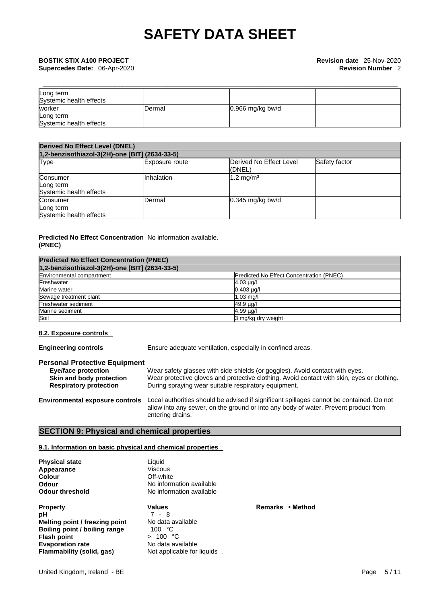| Long term               |         |                  |  |
|-------------------------|---------|------------------|--|
| Systemic health effects |         |                  |  |
| worker                  | IDermal | 0.966 mg/kg bw/d |  |
| Long term               |         |                  |  |
| Systemic health effects |         |                  |  |

| <b>Derived No Effect Level (DNEL)</b>            |                       |                                   |               |  |
|--------------------------------------------------|-----------------------|-----------------------------------|---------------|--|
| 1,2-benzisothiazol-3(2H)-one [BIT] (2634-33-5)   |                       |                                   |               |  |
| Type                                             | <b>Exposure route</b> | Derived No Effect Level<br>(DNEL) | Safety factor |  |
| Consumer<br>Long term<br>Systemic health effects | Inhalation            | $1.2 \text{ mg/m}^3$              |               |  |
| Consumer<br>Long term<br>Systemic health effects | Dermal                | $0.345$ mg/kg bw/d                |               |  |

### **Predicted No Effect Concentration** No information available. **(PNEC)**

| <b>Predicted No Effect Concentration (PNEC)</b> |                                          |  |
|-------------------------------------------------|------------------------------------------|--|
| 1,2-benzisothiazol-3(2H)-one [BIT] (2634-33-5)  |                                          |  |
| Environmental compartment                       | Predicted No Effect Concentration (PNEC) |  |
| Freshwater                                      | $4.03 \mu g/l$                           |  |
| Marine water                                    | $0.403 \mu q$                            |  |
| Sewage treatment plant                          | $1.03$ mg/l                              |  |
| Freshwater sediment                             | 49.9 µg/l                                |  |
| Marine sediment                                 | 4.99 µg/l                                |  |
| Soil                                            | 3 mg/kg dry weight                       |  |

### **8.2. Exposure controls**

**Engineering controls** Ensure adequate ventilation, especially in confined areas.

### **Personal Protective Equipment**

| <b>Eye/face protection</b>    | Wear safety glasses with side shields (or goggles). Avoid contact with eyes.               |
|-------------------------------|--------------------------------------------------------------------------------------------|
| Skin and body protection      | Wear protective gloves and protective clothing. Avoid contact with skin, eyes or clothing. |
| <b>Respiratory protection</b> | During spraying wear suitable respiratory equipment.                                       |

**Environmental exposure controls** Local authorities should be advised if significant spillages cannot be contained. Do not allow into any sewer, on the ground or into any body of water. Prevent product from entering drains.

### **SECTION 9: Physical and chemical properties**

### **9.1. Information on basic physical and chemical properties**

**Physical state** Liquid<br> **Appearance** Miscous Appearance<br>Colour

**Property CONS Property Property Property Property Remarks • Method pH pH** 7 - 8 **Melting point / freezing point** No data available<br> **Boiling point / boiling range** 100 °C **Boiling point / boiling range**  $100 °C$ **<br>Flash point**  $> 100 °C$ **Flash** point **Evaporation rate** No data available<br> **Flammability (solid, gas)** Not applicable for

**Cff-white Odour**  No information available<br> **Odour threshold** Mo information available **No information available** 

**Not applicable for liquids**.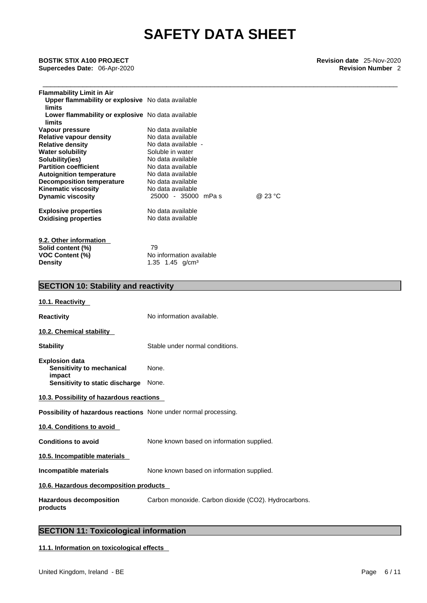| <b>Flammability Limit in Air</b><br>Upper flammability or explosive No data available<br>limits<br>Lower flammability or explosive No data available<br>limits |                     |         |  |
|----------------------------------------------------------------------------------------------------------------------------------------------------------------|---------------------|---------|--|
| Vapour pressure                                                                                                                                                | No data available   |         |  |
| Relative vapour density                                                                                                                                        | No data available   |         |  |
| <b>Relative density</b>                                                                                                                                        | No data available - |         |  |
| <b>Water solubility</b>                                                                                                                                        | Soluble in water    |         |  |
| Solubility(ies)                                                                                                                                                | No data available   |         |  |
| <b>Partition coefficient</b>                                                                                                                                   | No data available   |         |  |
| <b>Autoignition temperature</b>                                                                                                                                | No data available   |         |  |
| <b>Decomposition temperature</b>                                                                                                                               | No data available   |         |  |
| <b>Kinematic viscosity</b>                                                                                                                                     | No data available   |         |  |
| <b>Dynamic viscosity</b>                                                                                                                                       | 25000 - 35000 mPas  | @ 23 °C |  |
| <b>Explosive properties</b>                                                                                                                                    | No data available   |         |  |
| <b>Oxidising properties</b>                                                                                                                                    | No data available   |         |  |
|                                                                                                                                                                |                     |         |  |

| 9.2. Other information |                                     |
|------------------------|-------------------------------------|
| Solid content (%)      | 79                                  |
| <b>VOC Content (%)</b> | No information available            |
| <b>Density</b>         | 1.35 1.45 $\alpha$ /cm <sup>3</sup> |

## **SECTION 10: Stability and reactivity**

| 10.1. Reactivity                                                 |                                                      |
|------------------------------------------------------------------|------------------------------------------------------|
| Reactivity                                                       | No information available.                            |
| 10.2. Chemical stability                                         |                                                      |
| Stability                                                        | Stable under normal conditions.                      |
| <b>Explosion data</b><br>Sensitivity to mechanical<br>impact     | None.                                                |
| Sensitivity to static discharge                                  | None.                                                |
| 10.3. Possibility of hazardous reactions                         |                                                      |
| Possibility of hazardous reactions None under normal processing. |                                                      |
| 10.4. Conditions to avoid                                        |                                                      |
| <b>Conditions to avoid</b>                                       | None known based on information supplied.            |
| 10.5. Incompatible materials                                     |                                                      |
| Incompatible materials                                           | None known based on information supplied.            |
| 10.6. Hazardous decomposition products                           |                                                      |
| <b>Hazardous decomposition</b><br>products                       | Carbon monoxide. Carbon dioxide (CO2). Hydrocarbons. |
|                                                                  |                                                      |

## **SECTION 11: Toxicological information**

**11.1. Information on toxicological effects**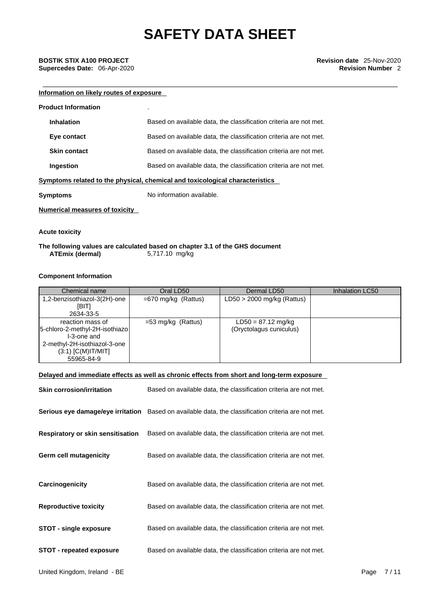## \_\_\_\_\_\_\_\_\_\_\_\_\_\_\_\_\_\_\_\_\_\_\_\_\_\_\_\_\_\_\_\_\_\_\_\_\_\_\_\_\_\_\_\_\_\_\_\_\_\_\_\_\_\_\_\_\_\_\_\_\_\_\_\_\_\_\_\_\_\_\_\_\_\_\_\_\_\_\_\_\_\_\_\_\_\_\_\_\_ **BOSTIK STIX A100 PROJECT Revision date** 25-Nov-2020 **Supercedes Date:** 06-Apr-2020 **Revision Number** 2

### **Information on likely routes of exposure**

| <b>Product Information</b>            |                                                                              |
|---------------------------------------|------------------------------------------------------------------------------|
| <b>Inhalation</b>                     | Based on available data, the classification criteria are not met.            |
| Eye contact                           | Based on available data, the classification criteria are not met.            |
| <b>Skin contact</b>                   | Based on available data, the classification criteria are not met.            |
| Ingestion                             | Based on available data, the classification criteria are not met.            |
|                                       | Symptoms related to the physical, chemical and toxicological characteristics |
| Symptoms                              | No information available.                                                    |
| <b>Numerical measures of toxicity</b> |                                                                              |

**Acute toxicity** 

### **The following values are calculated based on chapter 3.1 of the GHS document ATEmix** (dermal)

### **Component Information**

| Chemical name                                                                                                                           | Oral LD50             | Dermal LD50                                     | Inhalation LC50 |
|-----------------------------------------------------------------------------------------------------------------------------------------|-----------------------|-------------------------------------------------|-----------------|
| 1,2-benzisothiazol-3(2H)-one<br>[BIT]<br>2634-33-5                                                                                      | $=670$ mg/kg (Rattus) | $LD50 > 2000$ mg/kg (Rattus)                    |                 |
| reaction mass of<br>5-chloro-2-methyl-2H-isothiazo<br>I-3-one and<br>2-methyl-2H-isothiazol-3-one<br>$(3:1)$ [C(M)IT/MIT]<br>55965-84-9 | $=$ 53 mg/kg (Rattus) | $LD50 = 87.12$ mg/kg<br>(Oryctolagus cuniculus) |                 |

### **Delayed and immediate effects as well as chronic effects from short and long-term exposure**

| <b>Skin corrosion/irritation</b>         | Based on available data, the classification criteria are not met.                                   |
|------------------------------------------|-----------------------------------------------------------------------------------------------------|
|                                          | Serious eye damage/eye irritation Based on available data, the classification criteria are not met. |
| <b>Respiratory or skin sensitisation</b> | Based on available data, the classification criteria are not met.                                   |
| Germ cell mutagenicity                   | Based on available data, the classification criteria are not met.                                   |
| Carcinogenicity                          | Based on available data, the classification criteria are not met.                                   |
| <b>Reproductive toxicity</b>             | Based on available data, the classification criteria are not met.                                   |
| <b>STOT - single exposure</b>            | Based on available data, the classification criteria are not met.                                   |
| <b>STOT - repeated exposure</b>          | Based on available data, the classification criteria are not met.                                   |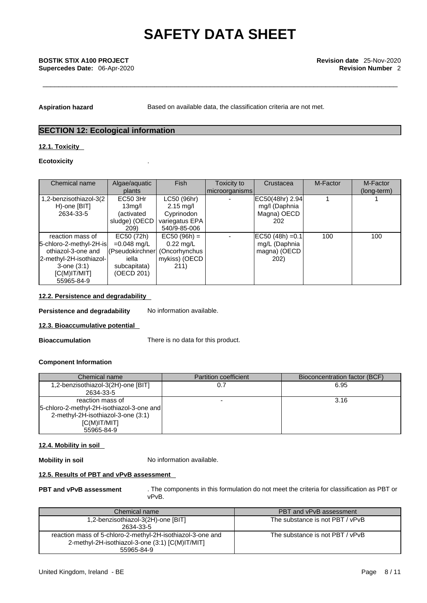Aspiration hazard **Based on available data, the classification criteria are not met.** 

## **SECTION 12: Ecological information**

### **12.1. Toxicity**

### **Ecotoxicity** .

| Chemical name                                                                                                                                     | Algae/aquatic<br>plants                                                                              | <b>Fish</b>                                                                | Toxicity to<br>  microorganisms | Crustacea                                                   | M-Factor | M-Factor<br>(long-term) |
|---------------------------------------------------------------------------------------------------------------------------------------------------|------------------------------------------------------------------------------------------------------|----------------------------------------------------------------------------|---------------------------------|-------------------------------------------------------------|----------|-------------------------|
| 1,2-benzisothiazol-3(2)<br>H)-one [BIT]<br>2634-33-5                                                                                              | <b>EC50 3Hr</b><br>13 <sub>mq</sub> /l<br>(activated<br>sludge) (OECD<br>209)                        | LC50 (96hr)<br>$2.15$ mg/l<br>Cyprinodon<br>variegatus EPA<br>540/9-85-006 |                                 | EC50(48hr) 2.94<br>mg/l (Daphnia<br>Magna) OECD<br>202      |          |                         |
| reaction mass of<br>5-chloro-2-methyl-2H-is<br>othiazol-3-one and<br>2-methyl-2H-isothiazol-<br>$3$ -one $(3:1)$<br>$[C(M)$ IT/MIT]<br>55965-84-9 | EC50 (72h)<br>$=0.048$ mg/L<br>(Pseudokirchner) (Oncorhynchus<br>iella<br>subcapitata)<br>(OECD 201) | $EC50 (96h) =$<br>$0.22$ mg/L<br>mykiss) (OECD<br>211)                     |                                 | $EC50 (48h) = 0.1$<br>mg/L (Daphnia<br>magna) (OECD<br>202) | 100      | 100                     |

### **12.2. Persistence and degradability**

**Persistence and degradability** No information available.

### **12.3. Bioaccumulative potential**

**Bioaccumulation** There is no data for this product.

### **Component Information**

| Chemical name                               | <b>Partition coefficient</b> | Bioconcentration factor (BCF) |
|---------------------------------------------|------------------------------|-------------------------------|
| 1,2-benzisothiazol-3(2H)-one [BIT]          |                              | 6.95                          |
| 2634-33-5                                   |                              |                               |
| reaction mass of                            | -                            | 3.16                          |
| [5-chloro-2-methyl-2H-isothiazol-3-one and] |                              |                               |
| 2-methyl-2H-isothiazol-3-one (3:1)          |                              |                               |
| IC(M)IT/MIT                                 |                              |                               |
| 55965-84-9                                  |                              |                               |

### **12.4. Mobility in soil**

**Mobility in soil** No information available.

### **12.5. Results of PBT and vPvB assessment**

**PBT and vPvB assessment** . The components in this formulation do not meet the criteria for classification as PBT or vPvB.

| Chemical name                                              | PBT and vPvB assessment         |
|------------------------------------------------------------|---------------------------------|
| 1,2-benzisothiazol-3(2H)-one [BIT]                         | The substance is not PBT / vPvB |
| 2634-33-5                                                  |                                 |
| reaction mass of 5-chloro-2-methyl-2H-isothiazol-3-one and | The substance is not PBT / vPvB |
| 2-methyl-2H-isothiazol-3-one (3:1) [C(M)IT/MIT]            |                                 |
| 55965-84-9                                                 |                                 |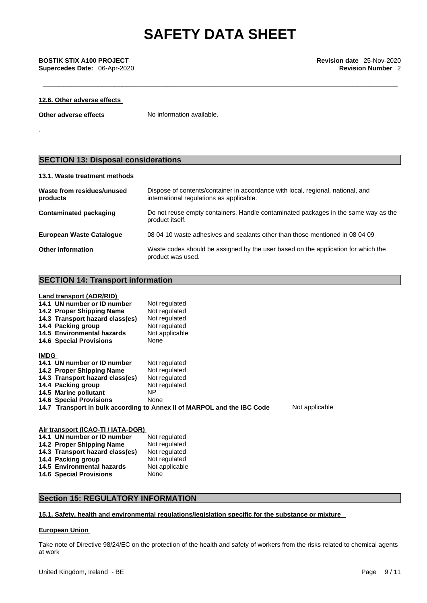### **12.6. Other adverse effects**

**Other adverse effects** No information available.

.

## **SECTION 13: Disposal considerations**

### **13.1. Waste treatment methods**

| Waste from residues/unused<br>products | Dispose of contents/container in accordance with local, regional, national, and<br>international regulations as applicable. |
|----------------------------------------|-----------------------------------------------------------------------------------------------------------------------------|
| Contaminated packaging                 | Do not reuse empty containers. Handle contaminated packages in the same way as the<br>product itself.                       |
| <b>European Waste Catalogue</b>        | 08 04 10 waste adhesives and sealants other than those mentioned in 08 04 09                                                |
| <b>Other information</b>               | Waste codes should be assigned by the user based on the application for which the<br>product was used.                      |

### **SECTION 14: Transport information**

### **Land transport (ADR/RID)**

|             | 14.1 UN number or ID number     | Not regulated                                                           |                |
|-------------|---------------------------------|-------------------------------------------------------------------------|----------------|
|             | 14.2 Proper Shipping Name       | Not regulated                                                           |                |
|             | 14.3 Transport hazard class(es) | Not regulated                                                           |                |
|             | 14.4 Packing group              | Not regulated                                                           |                |
|             | 14.5 Environmental hazards      | Not applicable                                                          |                |
|             | <b>14.6 Special Provisions</b>  | None                                                                    |                |
| <b>IMDG</b> |                                 |                                                                         |                |
|             | 14.1 UN number or ID number     | Not regulated                                                           |                |
|             | 14.2 Proper Shipping Name       | Not regulated                                                           |                |
|             | 14.3 Transport hazard class(es) | Not regulated                                                           |                |
|             | 14.4 Packing group              | Not regulated                                                           |                |
|             | 14.5 Marine pollutant           | NP.                                                                     |                |
|             | <b>14.6 Special Provisions</b>  | None                                                                    |                |
|             |                                 | 14.7 Transport in bulk according to Annex II of MARPOL and the IBC Code | Not applicable |
|             |                                 |                                                                         |                |

| Air transport (ICAO-TI / IATA-DGR) |                |  |  |
|------------------------------------|----------------|--|--|
| 14.1 UN number or ID number        | Not regulated  |  |  |
| 14.2 Proper Shipping Name          | Not regulated  |  |  |
| 14.3 Transport hazard class(es)    | Not regulated  |  |  |
| 14.4 Packing group                 | Not regulated  |  |  |
| 14.5 Environmental hazards         | Not applicable |  |  |
| <b>14.6 Special Provisions</b>     | None           |  |  |

### **Section 15: REGULATORY INFORMATION**

### **15.1. Safety, health and environmental regulations/legislation specific for the substance or mixture**

### **European Union**

Take note of Directive 98/24/EC on the protection of the health and safety of workers from the risks related to chemical agents at work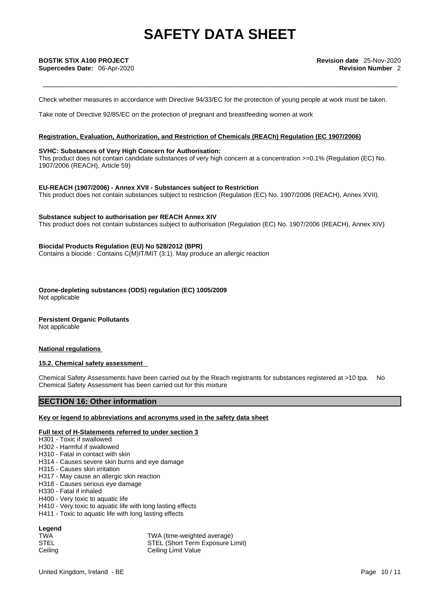Check whether measures in accordance with Directive 94/33/EC for the protection of young people at work must be taken.

Take note of Directive 92/85/EC on the protection of pregnant and breastfeeding women at work

### **Registration, Evaluation, Authorization, and Restriction of Chemicals (REACh) Regulation (EC 1907/2006)**

### **SVHC: Substances of Very High Concern for Authorisation:**

This product does not contain candidate substances of very high concern at a concentration  $>=0.1\%$  (Regulation (EC) No. 1907/2006 (REACH), Article 59)

**EU-REACH (1907/2006) - Annex XVII - Substances subject to Restriction** This product does not contain substances subject to restriction (Regulation (EC) No. 1907/2006 (REACH), Annex XVII).

### **Substance subject to authorisation per REACH Annex XIV**

This product does not contain substances subject to authorisation (Regulation (EC) No. 1907/2006 (REACH), Annex XIV)

### **Biocidal Products Regulation (EU) No 528/2012 (BPR)**

Contains a biocide : Contains C(M)IT/MIT (3:1). May produce an allergic reaction

**Ozone-depleting substances (ODS) regulation (EC) 1005/2009** Not applicable

### **Persistent Organic Pollutants**

Not applicable

### **National regulations**

### **15.2. Chemical safety assessment**

Chemical Safety Assessments have been carried out by the Reach registrants for substances registered at >10 tpa. No Chemical Safety Assessment has been carried out for this mixture

### **SECTION 16: Other information**

### **Key or legend to abbreviations and acronyms used in the safety data sheet**

### **Full text of H-Statements referred to under section 3**

H301 - Toxic if swallowed

- H302 Harmful if swallowed
- H310 Fatal in contact with skin
- H314 Causes severe skin burns and eye damage
- H315 Causes skin irritation
- H317 May cause an allergic skin reaction
- H318 Causes serious eye damage
- H330 Fatal if inhaled
- H400 Very toxic to aquatic life
- H410 Very toxic to aquatic life with long lasting effects
- H411 Toxic to aquatic life with long lasting effects

## **Legend**

TWA (time-weighted average) STEL STEL (Short Term Exposure Limit) Ceiling Ceiling Limit Value